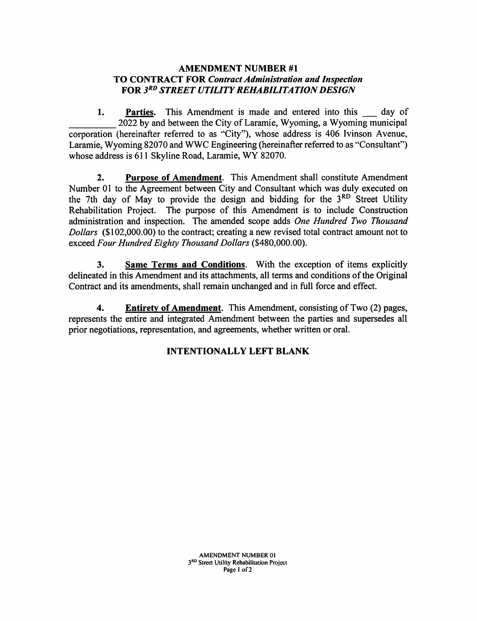## AMENDMENT NUMBER #1 TO CONTRACT FOR Contract Administration and Inspection FOR STREET UTILITY REHABILITATION DESIGN

1. Parties. This Amendment is made and entered into this day of 2022 by and between the City of Laramie, Wyoming, a Wyoming municipal corporation (hereinafter referred to as ''City"), whose address is 406 Ivinson Avenue, Laramie, Wyoming 82070 and WWC Engineering (hereinafter referred to as "Consultant") whose address is 611 Skyline Road, Laramie, WY 82070.

2. Purpose of Amendment. This Amendment shall constitute Amendment Number 01 to the Agreement between City and Consultant which was duly executed on the 7th day of May to provide the design and bidding for the  $3<sup>RD</sup>$  Street Utility Rehabilitation Project. The purpose of this Amendment is to include Construction administration and inspection. The amended scope adds One Hundred Two Thousand Dollars (\$102,000.00) to the contract; creating a new revised total contract amount not to exceed Four Hundred Eighty Thousand Dollars (\$480,000.00).

3. Same Terms and Conditions. With the exception of items explicitly delineated in this Amendment and its attachments, all terms and conditions of the Original Contract and its amendments, shall remain unchanged and in full force and effect.

4. Entirety of Amendment. This Amendment, consisting of Two (2) pages, represents the entire and integrated Amendment between the parties and supersedes all prior negotiations, representation, and agreements, whether written or oral.

## INTENTIONALLY LEFT BLANK